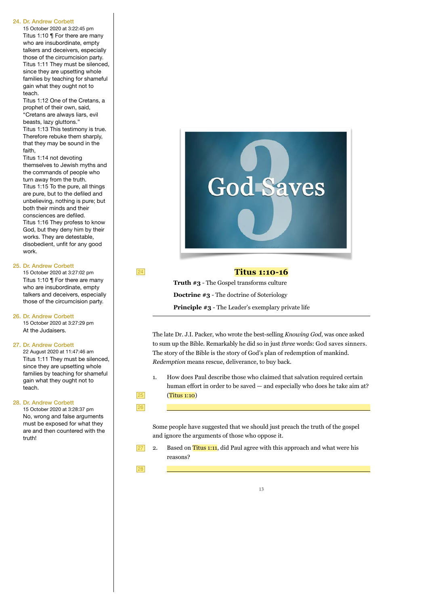#### 24. Dr. Andrew Corbett

15 October 2020 at 3:22:45 pm Titus 1:10 ¶ For there are many who are insubordinate, empty talkers and deceivers, especially those of the circumcision party. Titus 1:11 They must be silenced, since they are upsetting whole families by teaching for shameful gain what they ought not to teach.

Titus 1:12 One of the Cretans, a prophet of their own, said, "Cretans are always liars, evil beasts, lazy gluttons." Titus 1:13 This testimony is true.

Therefore rebuke them sharply, that they may be sound in the faith,

Titus 1:14 not devoting themselves to Jewish myths and the commands of people who turn away from the truth. Titus 1:15 To the pure, all things are pure, but to the defiled and unbelieving, nothing is pure; but both their minds and their consciences are defiled. Titus 1:16 They profess to know God, but they deny him by their works. They are detestable, disobedient, unfit for any good work.

#### 25. Dr. Andrew Corbett

15 October 2020 at 3:27:02 pm Titus 1:10 ¶ For there are many who are insubordinate, empty talkers and deceivers, especially those of the circumcision party.

26. Dr. Andrew Corbett 15 October 2020 at 3:27:29 pm At the Judaisers.

#### 27. Dr. Andrew Corbett

22 August 2020 at 11:47:46 am Titus 1:11 They must be silenced, since they are upsetting whole families by teaching for shameful gain what they ought not to teach.

## 28. Dr. Andrew Corbett

15 October 2020 at 3:28:37 pm No, wrong and false arguments must be exposed for what they are and then countered with the truth!



## **Titus 1:10-16**

**Truth #3** - The Gospel transforms culture **Doctrine #3** - The doctrine of Soteriology **Principle #3** - The Leader's exemplary private life

The late Dr. J.I. Packer, who wrote the best-selling *Knowing God*, was once asked to sum up the Bible. Remarkably he did so in just *three* words: God saves sinners. The story of the Bible is the story of God's plan of redemption of mankind. *Redemption* means rescue, deliverance, to buy back.

1. How does Paul describe those who claimed that salvation required certain human effort in order to be saved — and especially who does he take aim at? (Titus 1:10)

25 26

24

 $\overline{\phantom{a}}$ 

Some people have suggested that we should just preach the truth of the gospel and ignore the arguments of those who oppose it.

27

2. Based on Titus 1:11, did Paul agree with this approach and what were his reasons?

28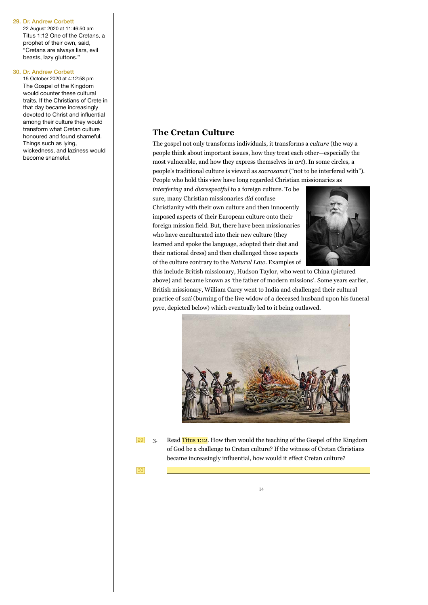#### 29. Dr. Andrew Corbett

22 August 2020 at 11:46:50 am Titus 1:12 One of the Cretans, a prophet of their own, said, "Cretans are always liars, evil beasts, lazy gluttons."

#### 30. Dr. Andrew Corbett

15 October 2020 at 4:12:58 pm The Gospel of the Kingdom would counter these cultural traits. If the Christians of Crete in that day became increasingly devoted to Christ and influential among their culture they would transform what Cretan culture honoured and found shameful. Things such as lying, wickedness, and laziness would become shameful.

# **The Cretan Culture**

The gospel not only transforms individuals, it transforms a *culture* (the way a people think about important issues, how they treat each other—especially the most vulnerable, and how they express themselves in *art*). In some circles, a people's traditional culture is viewed as *sacrosanct* ("not to be interfered with"). People who hold this view have long regarded Christian missionaries as

*interfering* and *disrespectful* to a foreign culture. To be sure, many Christian missionaries *did* confuse Christianity with their own culture and then innocently imposed aspects of their European culture onto their foreign mission field. But, there have been missionaries who have enculturated into their new culture (they learned and spoke the language, adopted their diet and their national dress) and then challenged those aspects of the culture contrary to the *Natural Law*. Examples of



this include British missionary, Hudson Taylor, who went to China (pictured above) and became known as 'the father of modern missions'. Some years earlier, British missionary, William Carey went to India and challenged their cultural practice of *sati* (burning of the live widow of a deceased husband upon his funeral pyre, depicted below) which eventually led to it being outlawed.



 $|29|$ 

3. Read Titus 1:12. How then would the teaching of the Gospel of the Kingdom of God be a challenge to Cretan culture? If the witness of Cretan Christians became increasingly influential, how would it effect Cretan culture?

30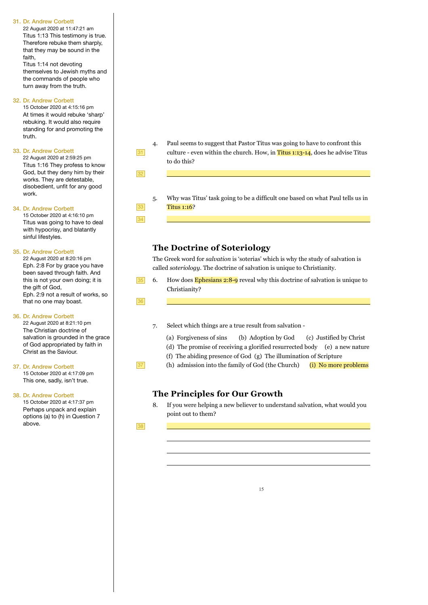#### 31. Dr. Andrew Corbett

22 August 2020 at 11:47:21 am Titus 1:13 This testimony is true. Therefore rebuke them sharply, that they may be sound in the faith,

Titus 1:14 not devoting themselves to Jewish myths and the commands of people who turn away from the truth.

## 32. Dr. Andrew Corbett

15 October 2020 at 4:15:16 pm At times it would rebuke 'sharp' rebuking. It would also require standing for and promoting the truth.

#### 33. Dr. Andrew Corbett

22 August 2020 at 2:59:25 pm Titus 1:16 They profess to know God, but they deny him by their works. They are detestable, disobedient, unfit for any good work.

### 34. Dr. Andrew Corbett

15 October 2020 at 4:16:10 pm Titus was going to have to deal with hypocrisy, and blatantly sinful lifestyles.

#### 35. Dr. Andrew Corbett

22 August 2020 at 8:20:16 pm Eph. 2:8 For by grace you have been saved through faith. And this is not your own doing; it is the gift of God. Eph. 2:9 not a result of works, so that no one may boast.

#### 36. Dr. Andrew Corbett

22 August 2020 at 8:21:10 pm The Christian doctrine of salvation is grounded in the grace of God appropriated by faith in Christ as the Saviour.

#### 37. Dr. Andrew Corbett 15 October 2020 at 4:17:09 pm This one, sadly, isn't true.

38. Dr. Andrew Corbett

15 October 2020 at 4:17:37 pm Perhaps unpack and explain options (a) to (h) in Question 7 above.

4. Paul seems to suggest that Pastor Titus was going to have to confront this culture - even within the church. How, in Titus 1:13-14, does he advise Titus to do this?

 $32$ 

31

33 34  $\overline{\phantom{a}}$ 

 $\overline{\phantom{a}}$ 

 $\overline{\phantom{a}}$ 

 $\overline{\phantom{a}}$ 

5. Why was Titus' task going to be a difficult one based on what Paul tells us in Titus 1:16?

# **The Doctrine of Soteriology**

The Greek word for *salvation* is 'soterias' which is why the study of salvation is called *soteriology*. The doctrine of salvation is unique to Christianity.

6. How does **Ephesians 2:8-9** reveal why this doctrine of salvation is unique to Christianity? 35

36

# 7. Select which things are a true result from salvation -

- (a) Forgiveness of sins (b) Adoption by God (c) Justified by Christ
- (d) The promise of receiving a glorified resurrected body (e) a new nature
- (f) The abiding presence of God (g) The illumination of Scripture
- (h) admission into the family of God (the Church)  $(i)$  No more problems

# **The Principles for Our Growth**

8. If you were helping a new believer to understand salvation, what would you point out to them?

38

37